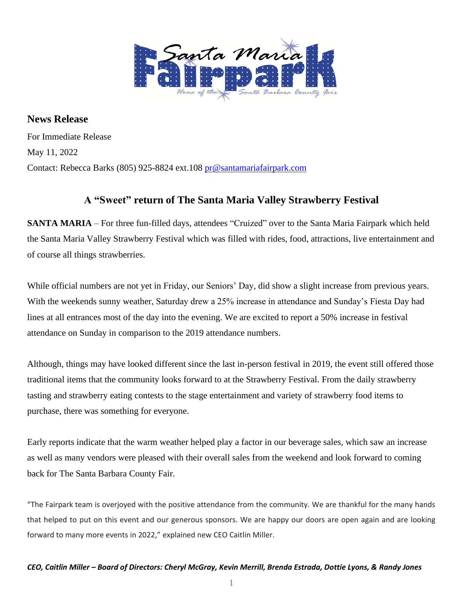

**News Release** For Immediate Release May 11, 2022 Contact: Rebecca Barks (805) 925-8824 ext.108 [pr@santamariafairpark.com](mailto:pr@santamariafairpark.com)

## **A "Sweet" return of The Santa Maria Valley Strawberry Festival**

**SANTA MARIA** – For three fun-filled days, attendees "Cruized" over to the Santa Maria Fairpark which held the Santa Maria Valley Strawberry Festival which was filled with rides, food, attractions, live entertainment and of course all things strawberries.

While official numbers are not yet in Friday, our Seniors' Day, did show a slight increase from previous years. With the weekends sunny weather, Saturday drew a 25% increase in attendance and Sunday's Fiesta Day had lines at all entrances most of the day into the evening. We are excited to report a 50% increase in festival attendance on Sunday in comparison to the 2019 attendance numbers.

Although, things may have looked different since the last in-person festival in 2019, the event still offered those traditional items that the community looks forward to at the Strawberry Festival. From the daily strawberry tasting and strawberry eating contests to the stage entertainment and variety of strawberry food items to purchase, there was something for everyone.

Early reports indicate that the warm weather helped play a factor in our beverage sales, which saw an increase as well as many vendors were pleased with their overall sales from the weekend and look forward to coming back for The Santa Barbara County Fair.

"The Fairpark team is overjoyed with the positive attendance from the community. We are thankful for the many hands that helped to put on this event and our generous sponsors. We are happy our doors are open again and are looking forward to many more events in 2022," explained new CEO Caitlin Miller.

1